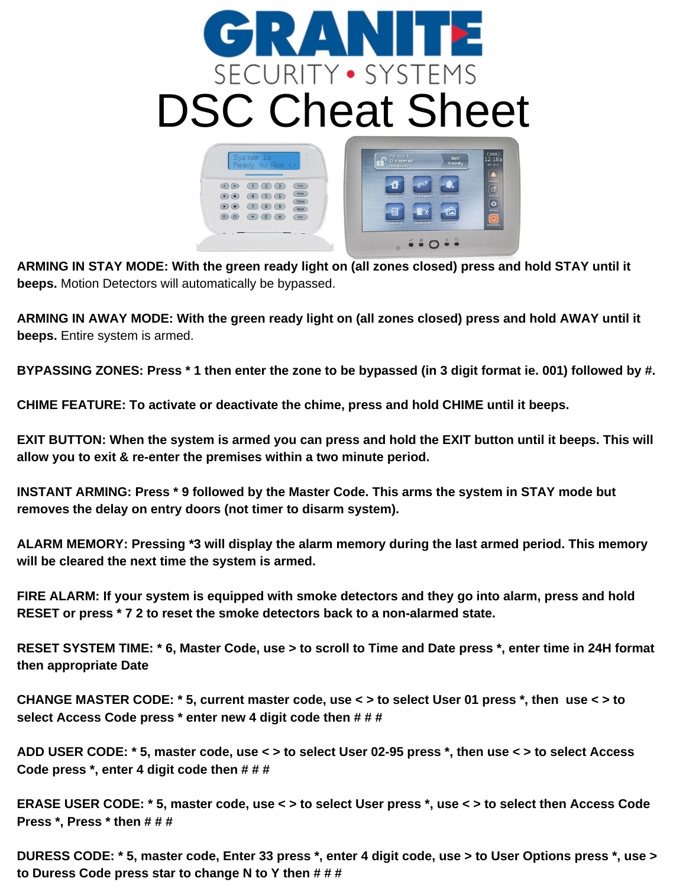## RAN SECURITY · SYSTEMS DSC Cheat Sheet $\mathbf{\Omega}$  pise



ARMING IN STAY MODE: With the green ready light on (all zones closed) press and hold STAY until it **beeps.** Motion Detectors will automatically be bypassed.

ARMING IN AWAY MODE: With the green ready light on (all zones closed) press and hold AWAY until it **beeps.** Entire system is armed.

BYPASSING ZONES: Press \* 1 then enter the zone to be bypassed (in 3 digit format ie. 001) followed by #.

**CHIME FEATURE: To activate or deactivate the chime, press and hold CHIME until it beeps.**

EXIT BUTTON: When the system is armed you can press and hold the EXIT button until it beeps. This will **allow you to exit & re-enter the premises within a two minute period.**

**INSTANT ARMING: Press \* 9 followed by the Master Code. This arms the system in STAY mode but removes the delay on entry doors (not timer to disarm system).**

**ALARM MEMORY: Pressing \*3 will display the alarm memory during the last armed period. This memory will be cleared the next time the system is armed.**

**FIRE ALARM: If your system is equipped with smoke detectors and they go into alarm, press and hold RESET or press \* 7 2 to reset the smoke detectors back to a non-alarmed state.**

RESET SYSTEM TIME: \* 6, Master Code, use > to scroll to Time and Date press \*, enter time in 24H format **then appropriate Date**

CHANGE MASTER CODE: \* 5, current master code, use < > to select User 01 press \*, then use < > to **select Access Code press \* enter new 4 digit code then # # #**

ADD USER CODE: \* 5, master code, use < > to select User 02-95 press \*, then use < > to select Access **Code press \*, enter 4 digit code then # # #**

ERASE USER CODE: \* 5, master code, use < > to select User press \*, use < > to select then Access Code **Press \*, Press \* then # # #**

DURESS CODE: \* 5, master code, Enter 33 press \*, enter 4 digit code, use > to User Options press \*, use > **to Duress Code press star to change N to Y then # # #**